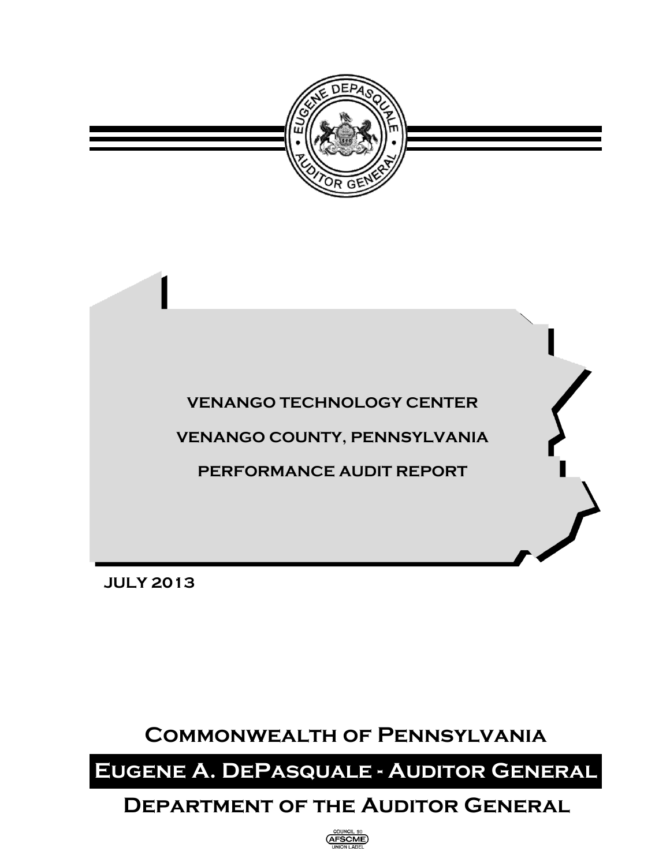



**JULY 2013**

# **Commonwealth of Pennsylvania**

# **Eugene A. DePasquale - Auditor General**

# **Department of the Auditor General**

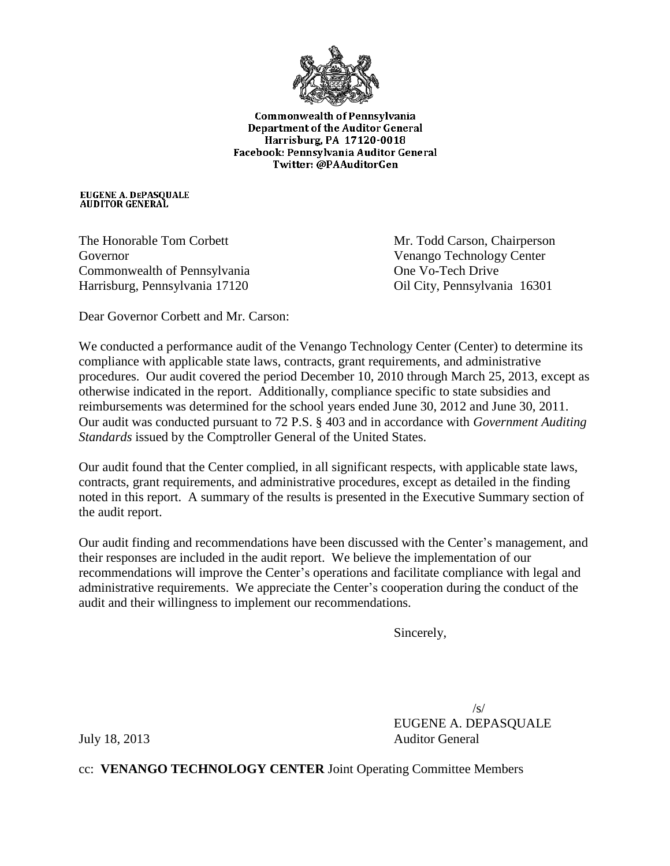

Commonwealth of Pennsylvania **Department of the Auditor General** Harrisburg, PA 17120-0018 Facebook: Pennsylvania Auditor General Twitter: @PAAuditorGen

EUGENE A. DEPASQUALE<br>AUDITOR GENERAL

Governor Venango Technology Center Commonwealth of Pennsylvania One Vo-Tech Drive Harrisburg, Pennsylvania 17120 Oil City, Pennsylvania 16301

The Honorable Tom Corbett Mr. Todd Carson, Chairperson

Dear Governor Corbett and Mr. Carson:

We conducted a performance audit of the Venango Technology Center (Center) to determine its compliance with applicable state laws, contracts, grant requirements, and administrative procedures. Our audit covered the period December 10, 2010 through March 25, 2013, except as otherwise indicated in the report. Additionally, compliance specific to state subsidies and reimbursements was determined for the school years ended June 30, 2012 and June 30, 2011. Our audit was conducted pursuant to 72 P.S. § 403 and in accordance with *Government Auditing Standards* issued by the Comptroller General of the United States.

Our audit found that the Center complied, in all significant respects, with applicable state laws, contracts, grant requirements, and administrative procedures, except as detailed in the finding noted in this report. A summary of the results is presented in the Executive Summary section of the audit report.

Our audit finding and recommendations have been discussed with the Center's management, and their responses are included in the audit report. We believe the implementation of our recommendations will improve the Center's operations and facilitate compliance with legal and administrative requirements. We appreciate the Center's cooperation during the conduct of the audit and their willingness to implement our recommendations.

Sincerely,

 $\sqrt{s}$ EUGENE A. DEPASQUALE July 18, 2013 Auditor General

cc: **VENANGO TECHNOLOGY CENTER** Joint Operating Committee Members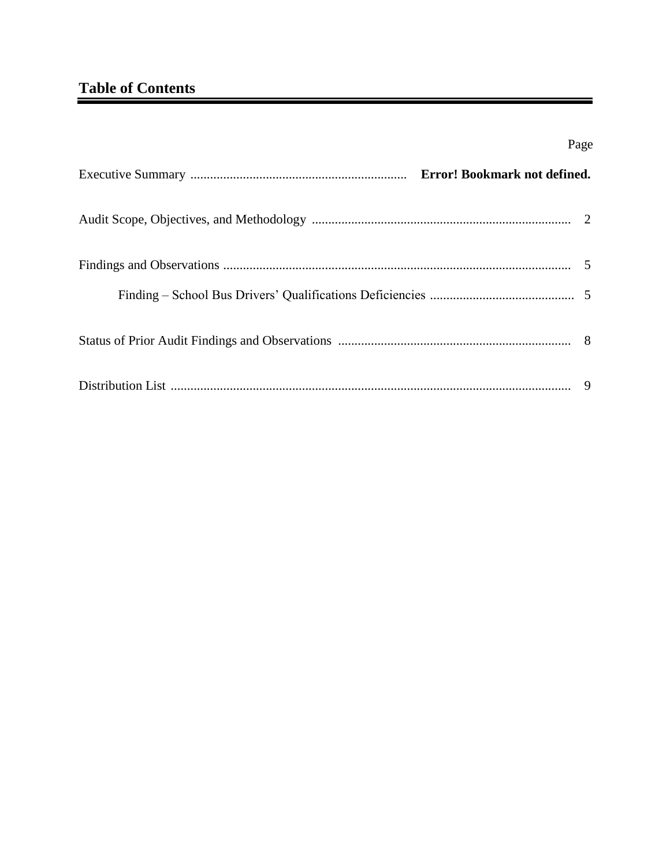# **Table of Contents**

| Page |
|------|
|      |
|      |
|      |
|      |
|      |
|      |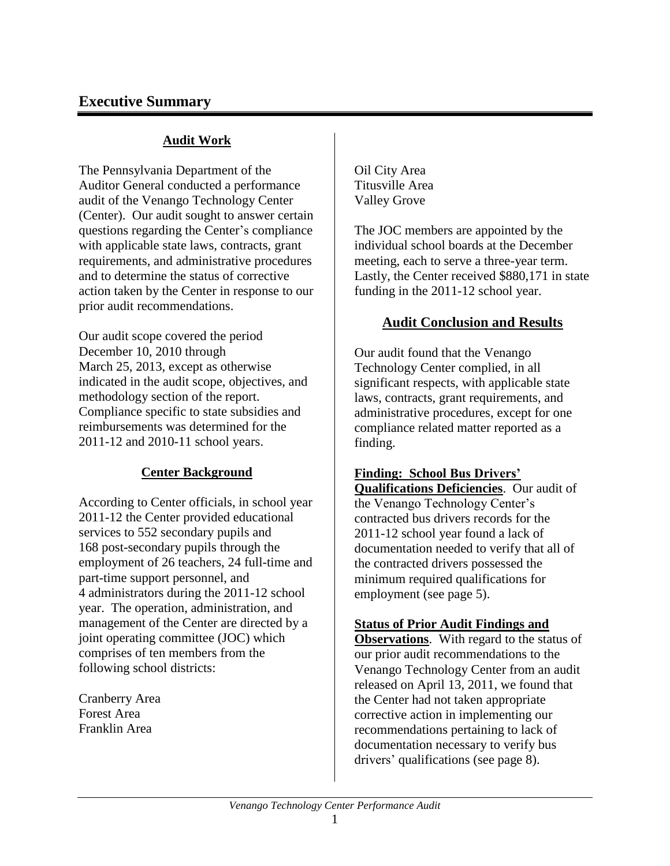## **Executive Summary**

### **Audit Work**

The Pennsylvania Department of the Auditor General conducted a performance audit of the Venango Technology Center (Center). Our audit sought to answer certain questions regarding the Center's compliance with applicable state laws, contracts, grant requirements, and administrative procedures and to determine the status of corrective action taken by the Center in response to our prior audit recommendations.

Our audit scope covered the period December 10, 2010 through March 25, 2013, except as otherwise indicated in the audit scope, objectives, and methodology section of the report. Compliance specific to state subsidies and reimbursements was determined for the 2011-12 and 2010-11 school years.

### **Center Background**

According to Center officials, in school year 2011-12 the Center provided educational services to 552 secondary pupils and 168 post-secondary pupils through the employment of 26 teachers, 24 full-time and part-time support personnel, and 4 administrators during the 2011-12 school year. The operation, administration, and management of the Center are directed by a joint operating committee (JOC) which comprises of ten members from the following school districts:

Cranberry Area Forest Area Franklin Area

Oil City Area Titusville Area Valley Grove

The JOC members are appointed by the individual school boards at the December meeting, each to serve a three-year term. Lastly, the Center received \$880,171 in state funding in the 2011-12 school year.

### **Audit Conclusion and Results**

Our audit found that the Venango Technology Center complied, in all significant respects, with applicable state laws, contracts, grant requirements, and administrative procedures, except for one compliance related matter reported as a finding.

### **Finding: School Bus Drivers'**

**Qualifications Deficiencies**. Our audit of the Venango Technology Center's contracted bus drivers records for the 2011-12 school year found a lack of documentation needed to verify that all of the contracted drivers possessed the minimum required qualifications for employment (see page 5).

### **Status of Prior Audit Findings and**

**Observations**. With regard to the status of our prior audit recommendations to the Venango Technology Center from an audit released on April 13, 2011, we found that the Center had not taken appropriate corrective action in implementing our recommendations pertaining to lack of documentation necessary to verify bus drivers' qualifications (see page 8).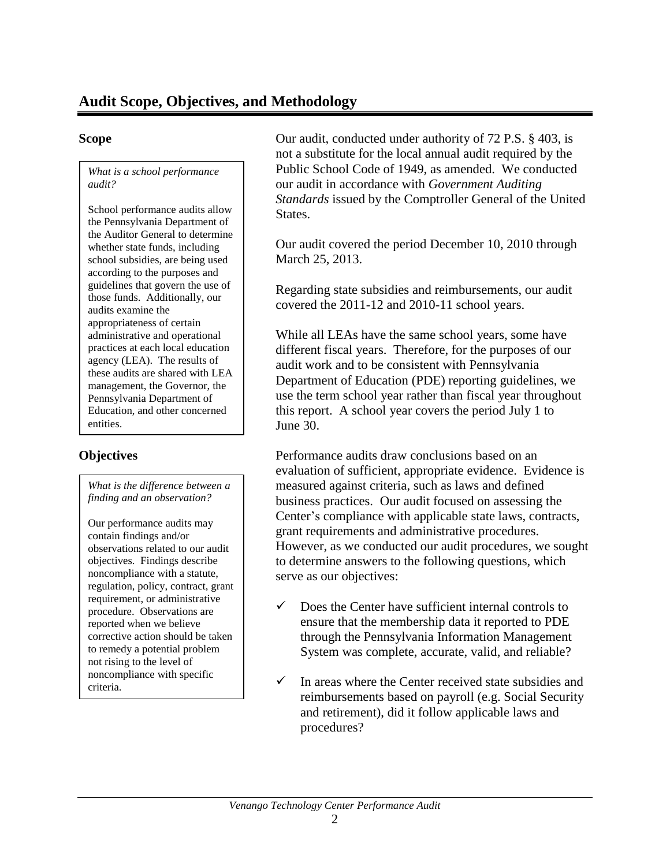*What is a school performance audit?*

School performance audits allow the Pennsylvania Department of the Auditor General to determine whether state funds, including school subsidies, are being used according to the purposes and guidelines that govern the use of those funds. Additionally, our audits examine the appropriateness of certain administrative and operational practices at each local education agency (LEA). The results of these audits are shared with LEA management, the Governor, the Pennsylvania Department of Education, and other concerned entities.

*What is the difference between a finding and an observation?*

Our performance audits may contain findings and/or observations related to our audit objectives. Findings describe noncompliance with a statute, regulation, policy, contract, grant requirement, or administrative procedure. Observations are reported when we believe corrective action should be taken to remedy a potential problem not rising to the level of noncompliance with specific criteria.

**Scope** Our audit, conducted under authority of 72 P.S. § 403, is not a substitute for the local annual audit required by the Public School Code of 1949, as amended. We conducted our audit in accordance with *Government Auditing Standards* issued by the Comptroller General of the United States.

> Our audit covered the period December 10, 2010 through March 25, 2013.

Regarding state subsidies and reimbursements, our audit covered the 2011-12 and 2010-11 school years.

While all LEAs have the same school years, some have different fiscal years. Therefore, for the purposes of our audit work and to be consistent with Pennsylvania Department of Education (PDE) reporting guidelines, we use the term school year rather than fiscal year throughout this report. A school year covers the period July 1 to June 30.

**Objectives Performance audits draw conclusions based on an** evaluation of sufficient, appropriate evidence. Evidence is measured against criteria, such as laws and defined business practices. Our audit focused on assessing the Center's compliance with applicable state laws, contracts, grant requirements and administrative procedures. However, as we conducted our audit procedures, we sought to determine answers to the following questions, which serve as our objectives:

- $\checkmark$  Does the Center have sufficient internal controls to ensure that the membership data it reported to PDE through the Pennsylvania Information Management System was complete, accurate, valid, and reliable?
- $\checkmark$  In areas where the Center received state subsidies and reimbursements based on payroll (e.g. Social Security and retirement), did it follow applicable laws and procedures?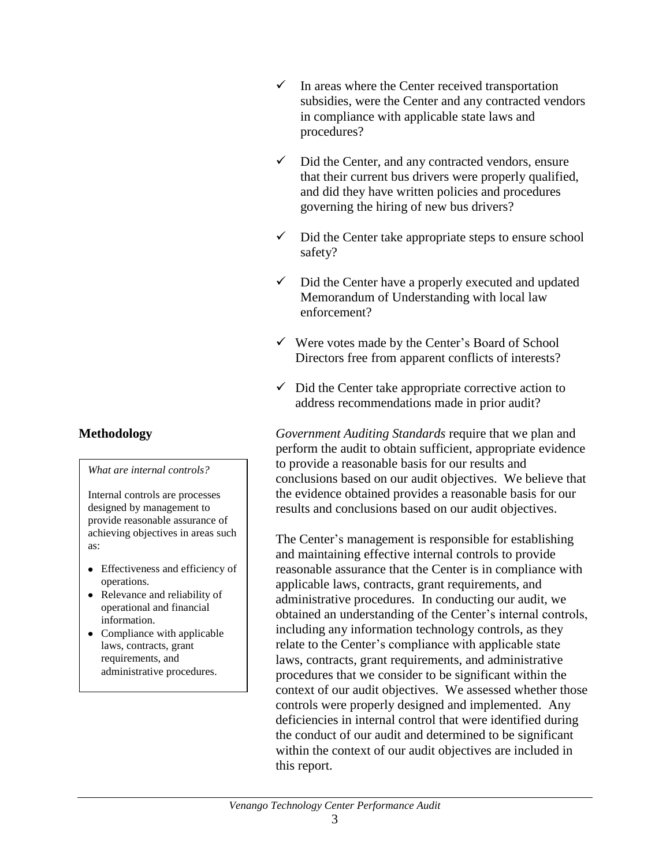### *What are internal controls?*

Internal controls are processes designed by management to provide reasonable assurance of achieving objectives in areas such as:

- Effectiveness and efficiency of operations.
- Relevance and reliability of operational and financial information.
- Compliance with applicable laws, contracts, grant requirements, and administrative procedures.
- $\checkmark$  In areas where the Center received transportation subsidies, were the Center and any contracted vendors in compliance with applicable state laws and procedures?
- $\checkmark$  Did the Center, and any contracted vendors, ensure that their current bus drivers were properly qualified, and did they have written policies and procedures governing the hiring of new bus drivers?
- $\checkmark$  Did the Center take appropriate steps to ensure school safety?
- $\checkmark$  Did the Center have a properly executed and updated Memorandum of Understanding with local law enforcement?
- $\checkmark$  Were votes made by the Center's Board of School Directors free from apparent conflicts of interests?
- $\checkmark$  Did the Center take appropriate corrective action to address recommendations made in prior audit?

**Methodology** *Government Auditing Standards* require that we plan and perform the audit to obtain sufficient, appropriate evidence to provide a reasonable basis for our results and conclusions based on our audit objectives. We believe that the evidence obtained provides a reasonable basis for our results and conclusions based on our audit objectives.

> The Center's management is responsible for establishing and maintaining effective internal controls to provide reasonable assurance that the Center is in compliance with applicable laws, contracts, grant requirements, and administrative procedures. In conducting our audit, we obtained an understanding of the Center's internal controls, including any information technology controls, as they relate to the Center's compliance with applicable state laws, contracts, grant requirements, and administrative procedures that we consider to be significant within the context of our audit objectives. We assessed whether those controls were properly designed and implemented. Any deficiencies in internal control that were identified during the conduct of our audit and determined to be significant within the context of our audit objectives are included in this report.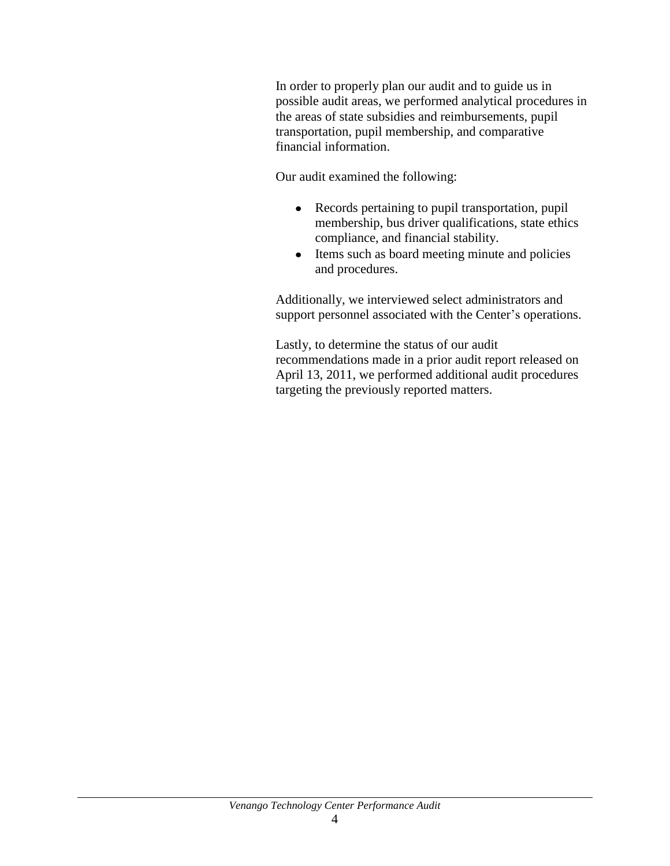In order to properly plan our audit and to guide us in possible audit areas, we performed analytical procedures in the areas of state subsidies and reimbursements, pupil transportation, pupil membership, and comparative financial information.

Our audit examined the following:

- Records pertaining to pupil transportation, pupil membership, bus driver qualifications, state ethics compliance, and financial stability.
- Items such as board meeting minute and policies and procedures.

Additionally, we interviewed select administrators and support personnel associated with the Center's operations.

Lastly, to determine the status of our audit recommendations made in a prior audit report released on April 13, 2011, we performed additional audit procedures targeting the previously reported matters.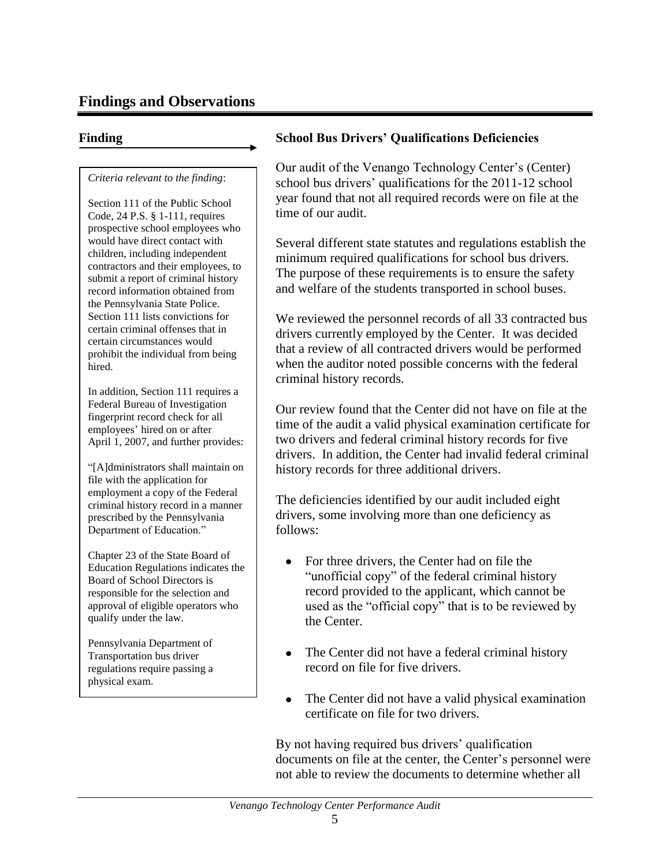## **Findings and Observations**

### *Criteria relevant to the finding*:

Section 111 of the Public School Code, 24 P.S. § 1-111, requires prospective school employees who would have direct contact with children, including independent contractors and their employees, to submit a report of criminal history record information obtained from the Pennsylvania State Police. Section 111 lists convictions for certain criminal offenses that in certain circumstances would prohibit the individual from being hired.

In addition, Section 111 requires a Federal Bureau of Investigation fingerprint record check for all employees' hired on or after April 1, 2007, and further provides:

"[A]dministrators shall maintain on file with the application for employment a copy of the Federal criminal history record in a manner prescribed by the Pennsylvania Department of Education."

Chapter 23 of the State Board of Education Regulations indicates the Board of School Directors is responsible for the selection and approval of eligible operators who qualify under the law.

Pennsylvania Department of Transportation bus driver regulations require passing a physical exam.

### **Finding School Bus Drivers' Qualifications Deficiencies**

Our audit of the Venango Technology Center's (Center) school bus drivers' qualifications for the 2011-12 school year found that not all required records were on file at the time of our audit.

Several different state statutes and regulations establish the minimum required qualifications for school bus drivers. The purpose of these requirements is to ensure the safety and welfare of the students transported in school buses.

We reviewed the personnel records of all 33 contracted bus drivers currently employed by the Center. It was decided that a review of all contracted drivers would be performed when the auditor noted possible concerns with the federal criminal history records.

Our review found that the Center did not have on file at the time of the audit a valid physical examination certificate for two drivers and federal criminal history records for five drivers. In addition, the Center had invalid federal criminal history records for three additional drivers.

The deficiencies identified by our audit included eight drivers, some involving more than one deficiency as follows:

- For three drivers, the Center had on file the  $\bullet$ "unofficial copy" of the federal criminal history record provided to the applicant, which cannot be used as the "official copy" that is to be reviewed by the Center.
- The Center did not have a federal criminal history record on file for five drivers.
- The Center did not have a valid physical examination certificate on file for two drivers.

By not having required bus drivers' qualification documents on file at the center, the Center's personnel were not able to review the documents to determine whether all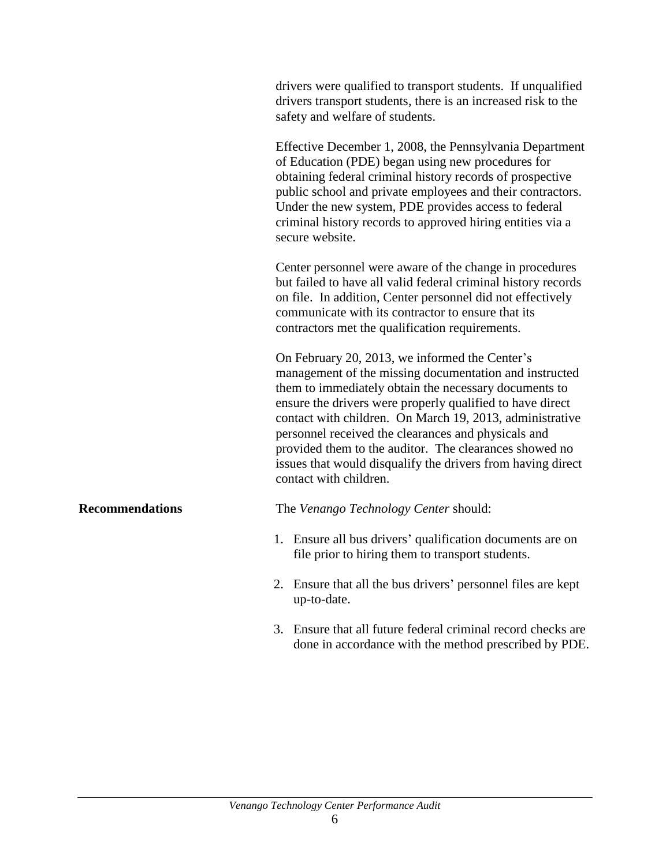drivers were qualified to transport students. If unqualified drivers transport students, there is an increased risk to the safety and welfare of students.

Effective December 1, 2008, the Pennsylvania Department of Education (PDE) began using new procedures for obtaining federal criminal history records of prospective public school and private employees and their contractors. Under the new system, PDE provides access to federal criminal history records to approved hiring entities via a secure website.

Center personnel were aware of the change in procedures but failed to have all valid federal criminal history records on file. In addition, Center personnel did not effectively communicate with its contractor to ensure that its contractors met the qualification requirements.

On February 20, 2013, we informed the Center's management of the missing documentation and instructed them to immediately obtain the necessary documents to ensure the drivers were properly qualified to have direct contact with children. On March 19, 2013, administrative personnel received the clearances and physicals and provided them to the auditor. The clearances showed no issues that would disqualify the drivers from having direct contact with children.

**Recommendations** The *Venango Technology Center* should:

- 1. Ensure all bus drivers' qualification documents are on file prior to hiring them to transport students.
- 2. Ensure that all the bus drivers' personnel files are kept up-to-date.
- 3. Ensure that all future federal criminal record checks are done in accordance with the method prescribed by PDE.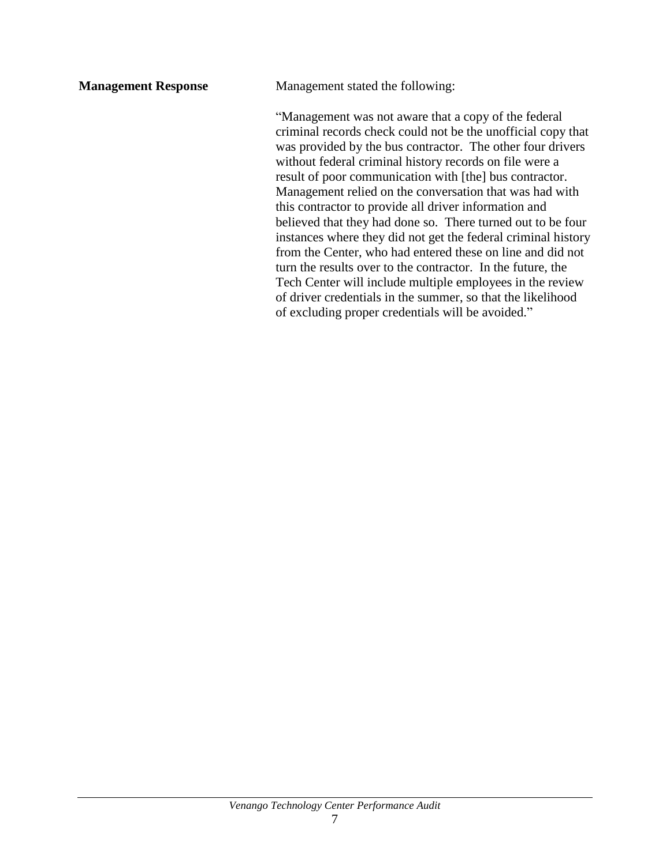**Management Response** Management stated the following:

"Management was not aware that a copy of the federal criminal records check could not be the unofficial copy that was provided by the bus contractor. The other four drivers without federal criminal history records on file were a result of poor communication with [the] bus contractor. Management relied on the conversation that was had with this contractor to provide all driver information and believed that they had done so. There turned out to be four instances where they did not get the federal criminal history from the Center, who had entered these on line and did not turn the results over to the contractor. In the future, the Tech Center will include multiple employees in the review of driver credentials in the summer, so that the likelihood of excluding proper credentials will be avoided."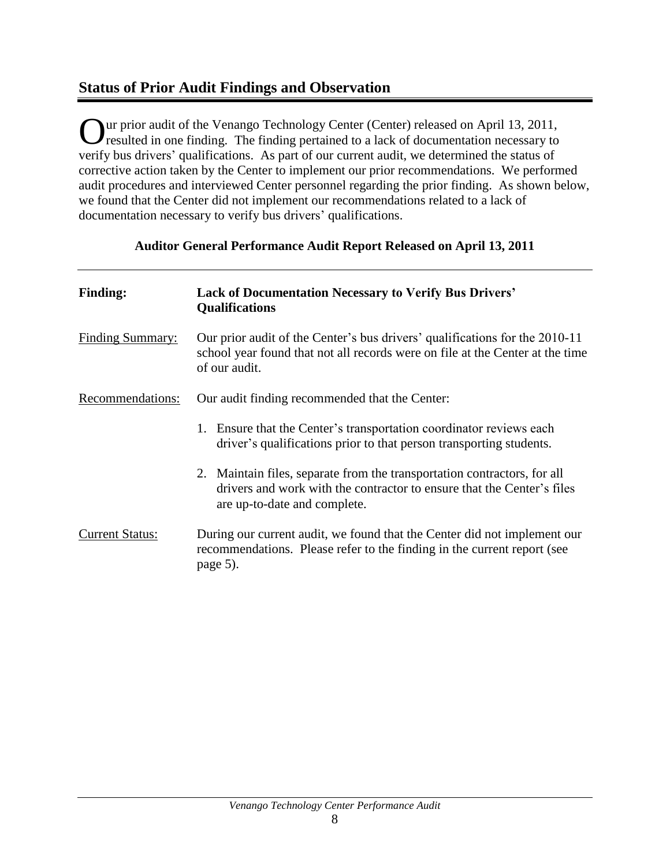## **Status of Prior Audit Findings and Observation**

Our prior audit of the Venango Technology Center (Center) released on April 13, 2011,<br>
resulted in one finding. The finding pertained to a lack of documentation necessary to resulted in one finding. The finding pertained to a lack of documentation necessary to verify bus drivers' qualifications. As part of our current audit, we determined the status of corrective action taken by the Center to implement our prior recommendations. We performed audit procedures and interviewed Center personnel regarding the prior finding. As shown below, we found that the Center did not implement our recommendations related to a lack of documentation necessary to verify bus drivers' qualifications.

### **Auditor General Performance Audit Report Released on April 13, 2011**

| <b>Finding:</b>         | <b>Lack of Documentation Necessary to Verify Bus Drivers'</b><br>Qualifications                                                                                                    |
|-------------------------|------------------------------------------------------------------------------------------------------------------------------------------------------------------------------------|
| <b>Finding Summary:</b> | Our prior audit of the Center's bus drivers' qualifications for the 2010-11<br>school year found that not all records were on file at the Center at the time<br>of our audit.      |
| Recommendations:        | Our audit finding recommended that the Center:                                                                                                                                     |
|                         | Ensure that the Center's transportation coordinator reviews each<br>1.<br>driver's qualifications prior to that person transporting students.                                      |
|                         | 2. Maintain files, separate from the transportation contractors, for all<br>drivers and work with the contractor to ensure that the Center's files<br>are up-to-date and complete. |
| <b>Current Status:</b>  | During our current audit, we found that the Center did not implement our<br>recommendations. Please refer to the finding in the current report (see<br>page 5).                    |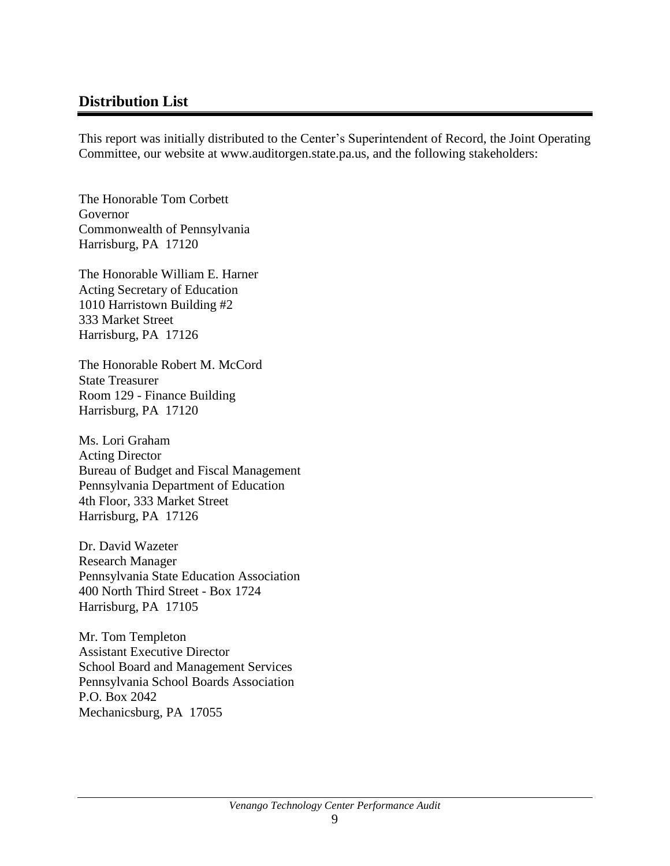## **Distribution List**

This report was initially distributed to the Center's Superintendent of Record, the Joint Operating Committee, our website at www.auditorgen.state.pa.us, and the following stakeholders:

The Honorable Tom Corbett Governor Commonwealth of Pennsylvania Harrisburg, PA 17120

The Honorable William E. Harner Acting Secretary of Education 1010 Harristown Building #2 333 Market Street Harrisburg, PA 17126

The Honorable Robert M. McCord State Treasurer Room 129 - Finance Building Harrisburg, PA 17120

Ms. Lori Graham Acting Director Bureau of Budget and Fiscal Management Pennsylvania Department of Education 4th Floor, 333 Market Street Harrisburg, PA 17126

Dr. David Wazeter Research Manager Pennsylvania State Education Association 400 North Third Street - Box 1724 Harrisburg, PA 17105

Mr. Tom Templeton Assistant Executive Director School Board and Management Services Pennsylvania School Boards Association P.O. Box 2042 Mechanicsburg, PA 17055